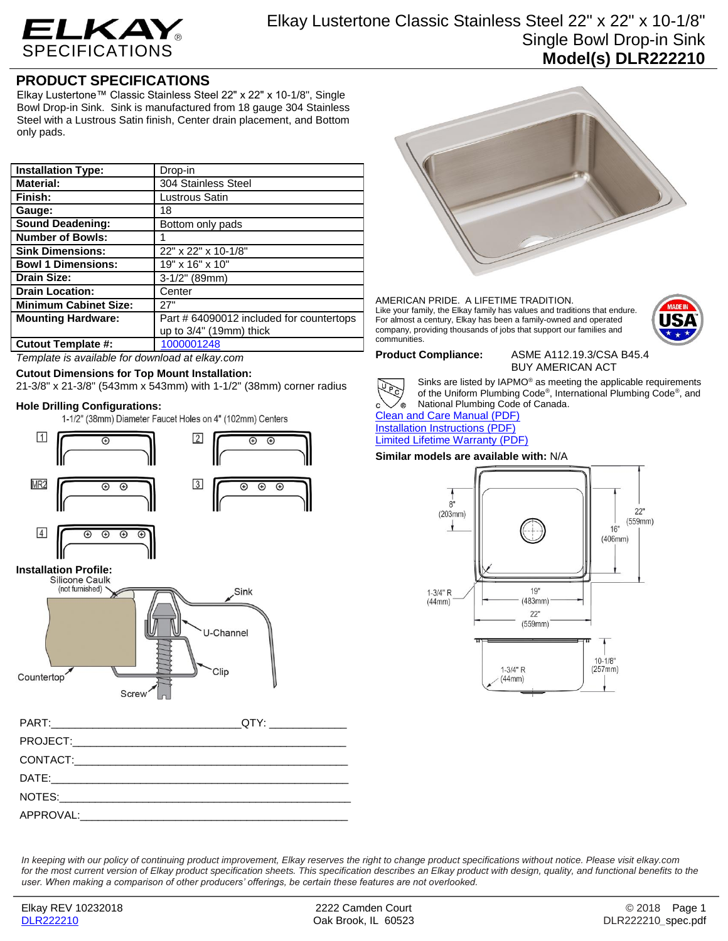

# **PRODUCT SPECIFICATIONS**

Elkay Lustertone™ Classic Stainless Steel 22" x 22" x 10-1/8", Single Bowl Drop-in Sink. Sink is manufactured from 18 gauge 304 Stainless Steel with a Lustrous Satin finish, Center drain placement, and Bottom only pads.

| <b>Installation Type:</b>    | Drop-in                                  |
|------------------------------|------------------------------------------|
| <b>Material:</b>             | 304 Stainless Steel                      |
| Finish:                      | Lustrous Satin                           |
| Gauge:                       | 18                                       |
| <b>Sound Deadening:</b>      | Bottom only pads                         |
| <b>Number of Bowls:</b>      |                                          |
| <b>Sink Dimensions:</b>      | 22" x 22" x 10-1/8"                      |
| <b>Bowl 1 Dimensions:</b>    | 19" x 16" x 10"                          |
| <b>Drain Size:</b>           | 3-1/2" (89mm)                            |
| <b>Drain Location:</b>       | Center                                   |
| <b>Minimum Cabinet Size:</b> | 27"                                      |
| <b>Mounting Hardware:</b>    | Part # 64090012 included for countertops |
|                              | up to $3/4$ " (19mm) thick               |
| <b>Cutout Template #:</b>    | 1000001248                               |

*Template is available for download at elkay.com*

# **Cutout Dimensions for Top Mount Installation:**

21-3/8" x 21-3/8" (543mm x 543mm) with 1-1/2" (38mm) corner radius

**Hole Drilling Configurations:**



APPROVAL:



### AMERICAN PRIDE. A LIFETIME TRADITION. Like your family, the Elkay family has values and traditions that endure. For almost a century, Elkay has been a family-owned and operated company, providing thousands of jobs that support our families and communities.



## **Product Compliance:** ASME A112.19.3/CSA B45.4

BUY AMERICAN ACT



Sinks are listed by IAPMO® as meeting the applicable requirements of the Uniform Plumbing Code® , International Plumbing Code® , and National Plumbing Code of Canada.

[Clean and Care Manual \(PDF\)](http://www.elkay.com/wcsstore/lkdocs/care-cleaning-install-warranty-sheets/residential%20and%20commercial%20care%20%20cleaning.pdf) [Installation Instructions \(PDF\)](http://www.elkay.com/wcsstore/lkdocs/care-cleaning-install-warranty-sheets/74180147.pdf) [Limited Lifetime Warranty](http://www.elkay.com/wcsstore/lkdocs/care-cleaning-install-warranty-sheets/residential%20sinks%20warranty.pdf) (PDF)

## **Similar models are available with:** N/A



*In keeping with our policy of continuing product improvement, Elkay reserves the right to change product specifications without notice. Please visit elkay.com*  for the most current version of Elkay product specification sheets. This specification describes an Elkay product with design, quality, and functional benefits to the *user. When making a comparison of other producers' offerings, be certain these features are not overlooked.*